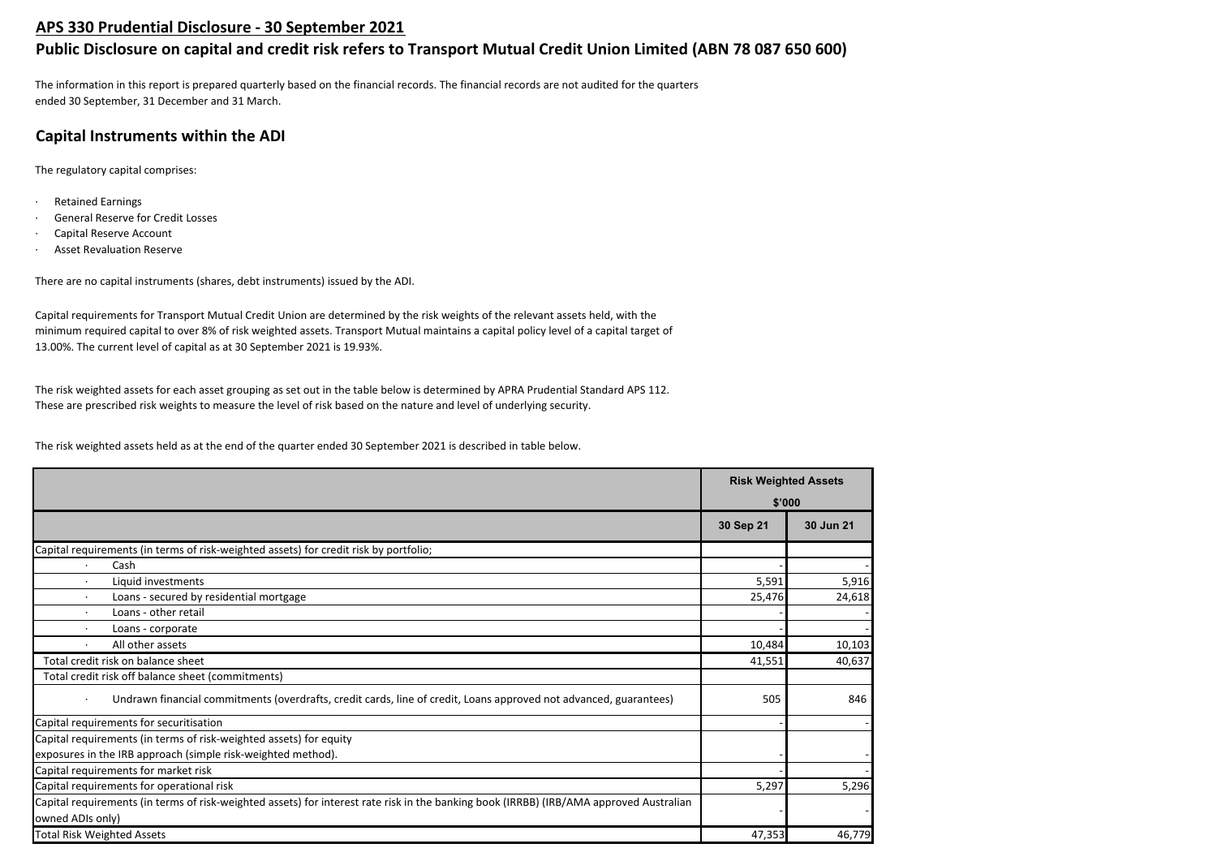## **APS 330 Prudential Disclosure - 30 September 2021**

# **Public Disclosure on capital and credit risk refers to Transport Mutual Credit Union Limited (ABN 78 087 650 600)**

The information in this report is prepared quarterly based on the financial records. The financial records are not audited for the quarters ended 30 September, 31 December and 31 March.

# **Capital Instruments within the ADI**

The regulatory capital comprises:

- · Retained Earnings
- General Reserve for Credit Losses
- Capital Reserve Account
- **Asset Revaluation Reserve**

There are no capital instruments (shares, debt instruments) issued by the ADI.

Capital requirements for Transport Mutual Credit Union are determined by the risk weights of the relevant assets held, with the minimum required capital to over 8% of risk weighted assets. Transport Mutual maintains a capital policy level of a capital target of 13.00%. The current level of capital as at 30 September 2021 is 19.93%.

The risk weighted assets for each asset grouping as set out in the table below is determined by APRA Prudential Standard APS 112. These are prescribed risk weights to measure the level of risk based on the nature and level of underlying security.

The risk weighted assets held as at the end of the quarter ended 30 September 2021 is described in table below.

|                                                                                                                                         | <b>Risk Weighted Assets</b> |           |
|-----------------------------------------------------------------------------------------------------------------------------------------|-----------------------------|-----------|
|                                                                                                                                         | \$'000                      |           |
|                                                                                                                                         | 30 Sep 21                   | 30 Jun 21 |
| Capital requirements (in terms of risk-weighted assets) for credit risk by portfolio;                                                   |                             |           |
| Cash                                                                                                                                    |                             |           |
| Liquid investments                                                                                                                      | 5,591                       | 5,916     |
| Loans - secured by residential mortgage                                                                                                 | 25,476                      | 24,618    |
| Loans - other retail                                                                                                                    |                             |           |
| Loans - corporate                                                                                                                       |                             |           |
| All other assets                                                                                                                        | 10,484                      | 10,103    |
| Total credit risk on balance sheet                                                                                                      | 41,551                      | 40,637    |
| Total credit risk off balance sheet (commitments)                                                                                       |                             |           |
| Undrawn financial commitments (overdrafts, credit cards, line of credit, Loans approved not advanced, guarantees)                       | 505                         | 846       |
| Capital requirements for securitisation                                                                                                 |                             |           |
| Capital requirements (in terms of risk-weighted assets) for equity                                                                      |                             |           |
| exposures in the IRB approach (simple risk-weighted method).                                                                            |                             |           |
| Capital requirements for market risk                                                                                                    |                             |           |
| Capital requirements for operational risk                                                                                               | 5,297                       | 5,296     |
| Capital requirements (in terms of risk-weighted assets) for interest rate risk in the banking book (IRRBB) (IRB/AMA approved Australian |                             |           |
| owned ADIs only)                                                                                                                        |                             |           |
| <b>Total Risk Weighted Assets</b>                                                                                                       | 47,353                      | 46,779    |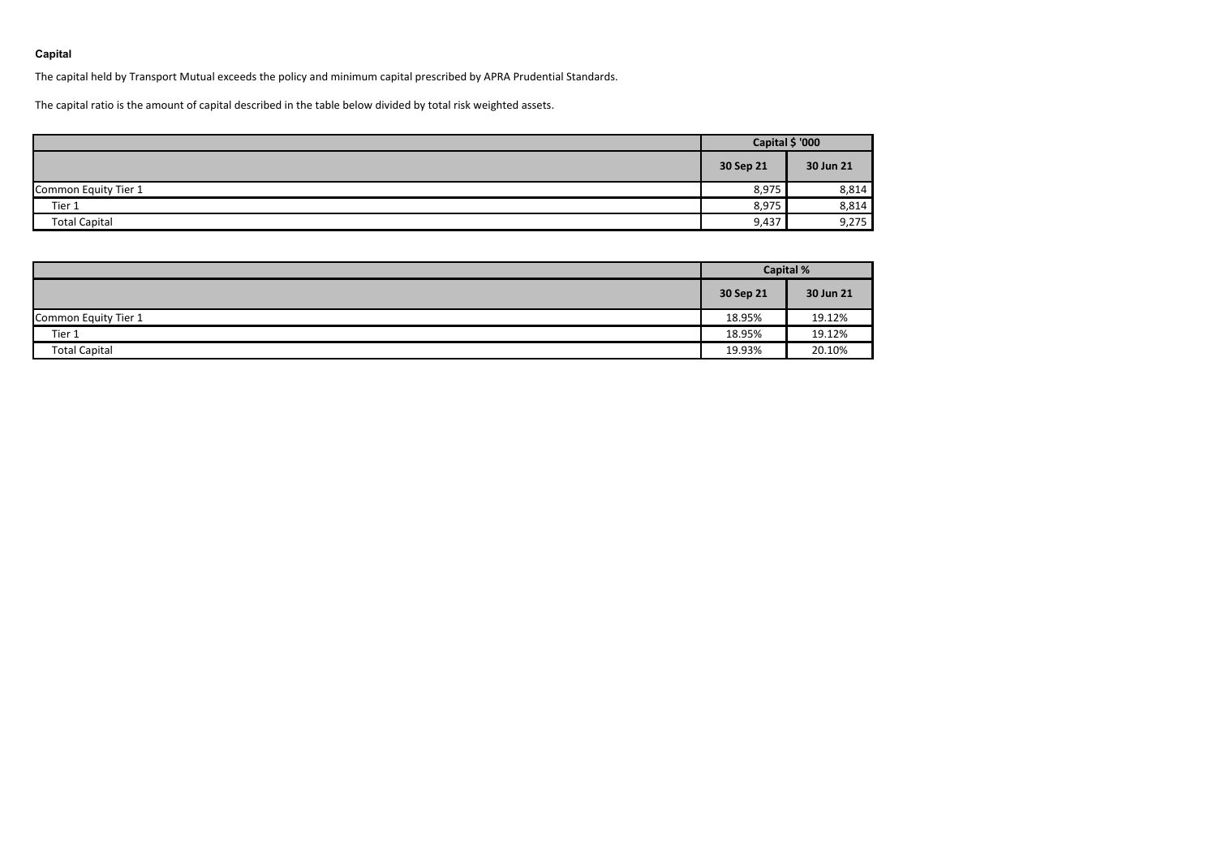## **Capital**

The capital held by Transport Mutual exceeds the policy and minimum capital prescribed by APRA Prudential Standards.

The capital ratio is the amount of capital described in the table below divided by total risk weighted assets.

|                      | Capital \$ '000 |           |  |
|----------------------|-----------------|-----------|--|
|                      | 30 Sep 21       | 30 Jun 21 |  |
| Common Equity Tier 1 | 8,975           | 8,814     |  |
| Tier 1               | 8,975           | 8,814     |  |
| <b>Total Capital</b> | 9,437           | 9,275     |  |

|                      | <b>Capital %</b> |           |  |
|----------------------|------------------|-----------|--|
|                      | 30 Sep 21        | 30 Jun 21 |  |
| Common Equity Tier 1 | 18.95%           | 19.12%    |  |
| Tier 1               | 18.95%           | 19.12%    |  |
| <b>Total Capital</b> | 19.93%           | 20.10%    |  |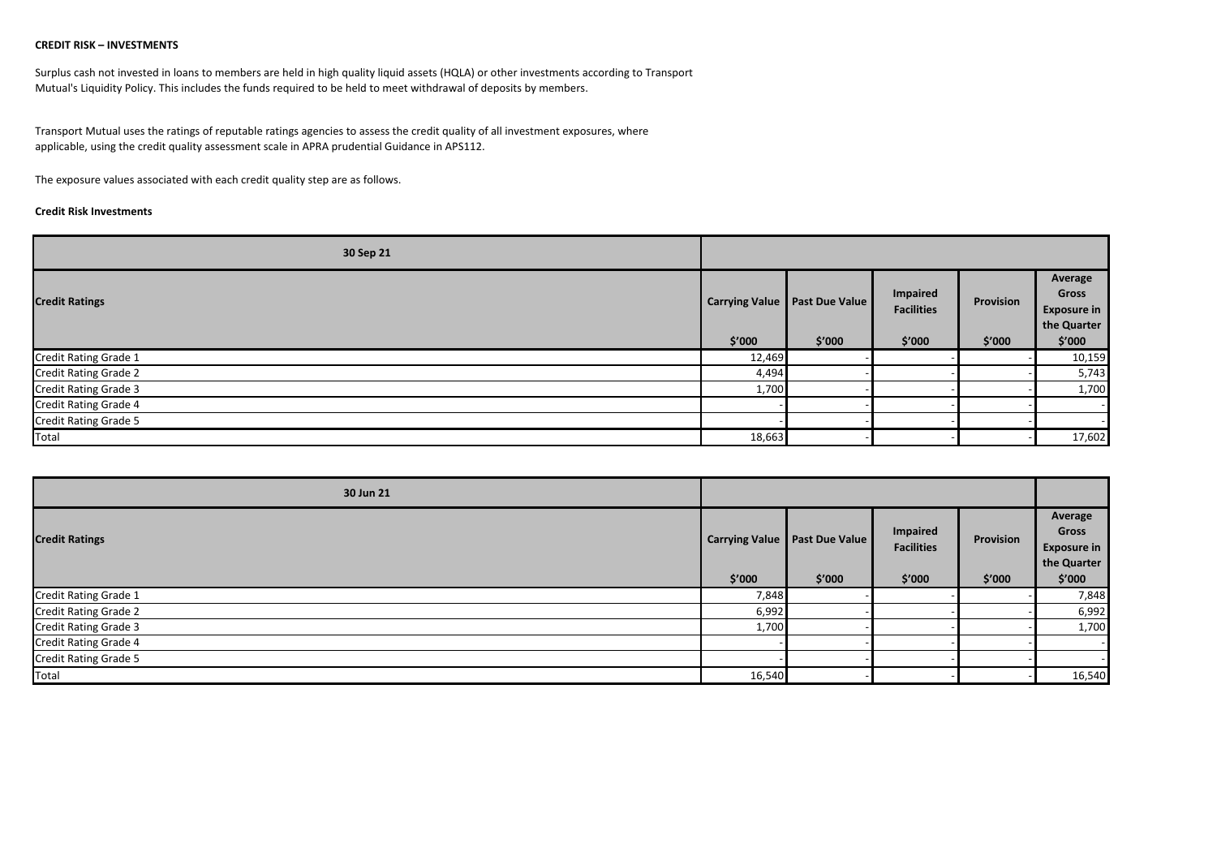## **CREDIT RISK – INVESTMENTS**

Surplus cash not invested in loans to members are held in high quality liquid assets (HQLA) or other investments according to Transport Mutual's Liquidity Policy. This includes the funds required to be held to meet withdrawal of deposits by members.

Transport Mutual uses the ratings of reputable ratings agencies to assess the credit quality of all investment exposures, where applicable, using the credit quality assessment scale in APRA prudential Guidance in APS112.

The exposure values associated with each credit quality step are as follows.

## **Credit Risk Investments**

| 30 Sep 21                    |                       |                       |                                      |           |                                                       |
|------------------------------|-----------------------|-----------------------|--------------------------------------|-----------|-------------------------------------------------------|
| <b>Credit Ratings</b>        | <b>Carrying Value</b> | <b>Past Due Value</b> | <b>Impaired</b><br><b>Facilities</b> | Provision | Average<br>Gross<br><b>Exposure in</b><br>the Quarter |
|                              | \$′000                | \$′000                | \$′000                               | \$′000    | \$′000                                                |
| <b>Credit Rating Grade 1</b> | 12,469                |                       |                                      |           | 10,159                                                |
| <b>Credit Rating Grade 2</b> | 4,494                 |                       |                                      |           | 5,743                                                 |
| <b>Credit Rating Grade 3</b> | 1,700                 |                       |                                      |           | 1,700                                                 |
| <b>Credit Rating Grade 4</b> |                       |                       |                                      |           |                                                       |
| <b>Credit Rating Grade 5</b> |                       |                       |                                      |           |                                                       |
| Total                        | 18,663                |                       |                                      |           | 17,602                                                |

| 30 Jun 21                    |                       |                |                               |           |                                                       |
|------------------------------|-----------------------|----------------|-------------------------------|-----------|-------------------------------------------------------|
| <b>Credit Ratings</b>        | <b>Carrying Value</b> | Past Due Value | Impaired<br><b>Facilities</b> | Provision | Average<br>Gross<br><b>Exposure in</b><br>the Quarter |
|                              | \$′000                | \$'000         | \$′000                        | \$'000    | \$'000                                                |
| Credit Rating Grade 1        | 7,848                 |                |                               |           | 7,848                                                 |
| <b>Credit Rating Grade 2</b> | 6,992                 |                |                               |           | 6,992                                                 |
| Credit Rating Grade 3        | 1,700                 |                |                               |           | 1,700                                                 |
| <b>Credit Rating Grade 4</b> |                       |                |                               |           |                                                       |
| Credit Rating Grade 5        |                       |                |                               |           |                                                       |
| Total                        | 16,540                |                |                               |           | 16,540                                                |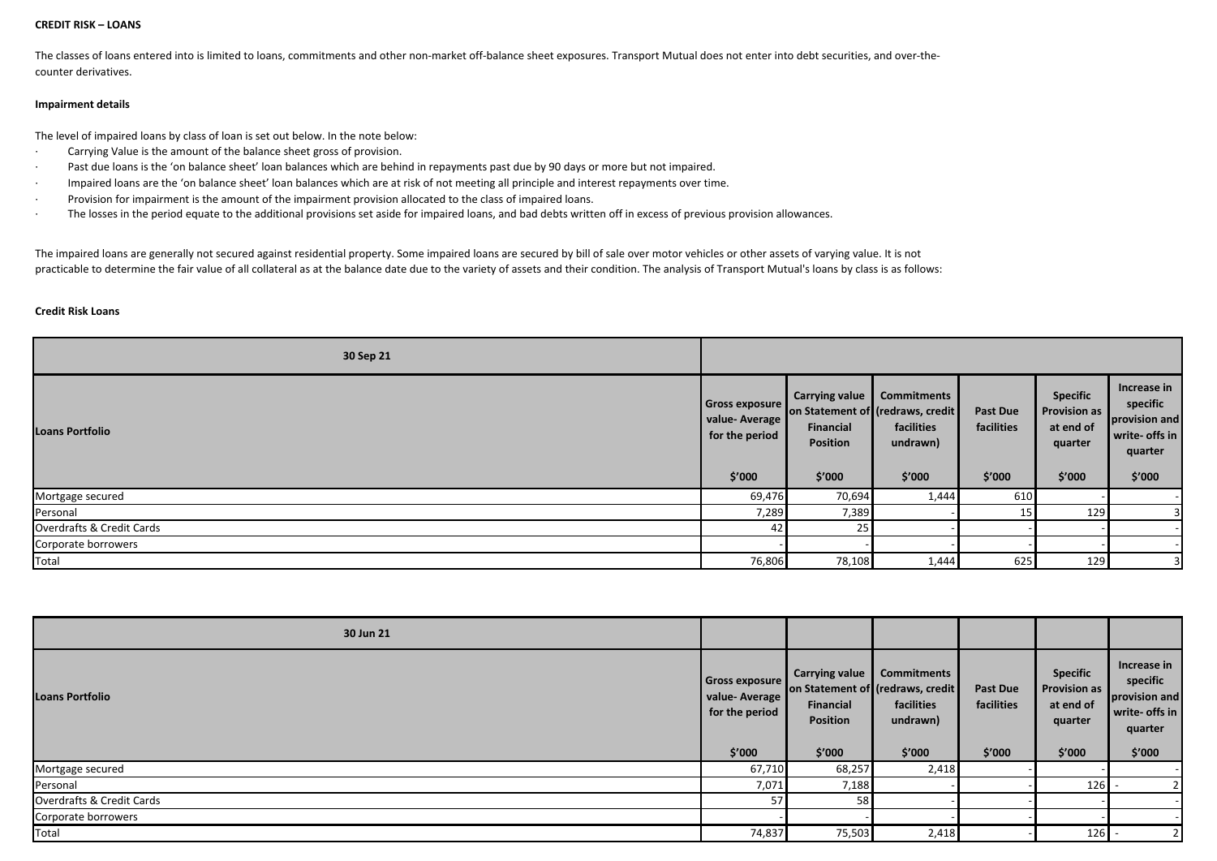#### **CREDIT RISK – LOANS**

The classes of loans entered into is limited to loans, commitments and other non-market off-balance sheet exposures. Transport Mutual does not enter into debt securities, and over-thecounter derivatives.

## **Impairment details**

The level of impaired loans by class of loan is set out below. In the note below:

- · Carrying Value is the amount of the balance sheet gross of provision.
- Past due loans is the 'on balance sheet' loan balances which are behind in repayments past due by 90 days or more but not impaired.
- · Impaired loans are the 'on balance sheet' loan balances which are at risk of not meeting all principle and interest repayments over time.
- · Provision for impairment is the amount of the impairment provision allocated to the class of impaired loans.
- · The losses in the period equate to the additional provisions set aside for impaired loans, and bad debts written off in excess of previous provision allowances.

The impaired loans are generally not secured against residential property. Some impaired loans are secured by bill of sale over motor vehicles or other assets of varying value. It is not practicable to determine the fair value of all collateral as at the balance date due to the variety of assets and their condition. The analysis of Transport Mutual's loans by class is as follows:

#### **Credit Risk Loans**

| 30 Sep 21                 |                                                                    |                                                          |                                                                                             |                                         |                                                                          |                                                                                 |
|---------------------------|--------------------------------------------------------------------|----------------------------------------------------------|---------------------------------------------------------------------------------------------|-----------------------------------------|--------------------------------------------------------------------------|---------------------------------------------------------------------------------|
| <b>Loans Portfolio</b>    | <b>Gross exposure</b><br>value-Average<br>for the period<br>\$'000 | Carrying value<br><b>Financial</b><br>Position<br>\$′000 | <b>Commitments</b><br>on Statement of (redraws, credit)<br>facilities<br>undrawn)<br>\$'000 | <b>Past Due</b><br>facilities<br>\$′000 | <b>Specific</b><br><b>Provision as</b><br>at end of<br>quarter<br>\$'000 | Increase in<br>specific<br>provision and<br>write- offs in<br>quarter<br>\$'000 |
| Mortgage secured          | 69,476                                                             | 70,694                                                   | 1,444                                                                                       | 610                                     |                                                                          |                                                                                 |
| Personal                  | 7,289                                                              | 7,389                                                    |                                                                                             | 15                                      | 129                                                                      | 31                                                                              |
| Overdrafts & Credit Cards | 42                                                                 | 25                                                       |                                                                                             |                                         |                                                                          |                                                                                 |
| Corporate borrowers       |                                                                    |                                                          |                                                                                             |                                         |                                                                          |                                                                                 |
| Total                     | 76,806                                                             | 78,108                                                   | 1,444                                                                                       | 625                                     | 129                                                                      | 31                                                                              |

| 30 Jun 21                 |                                                                    |                                                                 |                                                                                            |                                         |                                                                          |                                                                                 |
|---------------------------|--------------------------------------------------------------------|-----------------------------------------------------------------|--------------------------------------------------------------------------------------------|-----------------------------------------|--------------------------------------------------------------------------|---------------------------------------------------------------------------------|
| <b>Loans Portfolio</b>    | Gross exposure<br><b>Value-Average</b><br>for the period<br>\$′000 | <b>Carrying value</b><br>Financial<br><b>Position</b><br>\$′000 | <b>Commitments</b><br>on Statement of (redraws, credit<br>facilities<br>undrawn)<br>\$′000 | <b>Past Due</b><br>facilities<br>\$′000 | <b>Specific</b><br><b>Provision as</b><br>at end of<br>quarter<br>\$'000 | Increase in<br>specific<br>provision and<br>write- offs in<br>quarter<br>\$′000 |
| Mortgage secured          | 67,710                                                             | 68,257                                                          | 2,418                                                                                      |                                         |                                                                          |                                                                                 |
| Personal                  | 7,071                                                              | 7,188                                                           |                                                                                            |                                         | 126                                                                      |                                                                                 |
| Overdrafts & Credit Cards | 57                                                                 | 58                                                              |                                                                                            |                                         |                                                                          |                                                                                 |
| Corporate borrowers       |                                                                    |                                                                 |                                                                                            |                                         |                                                                          |                                                                                 |
| Total                     | 74,837                                                             | 75,503                                                          | 2,418                                                                                      |                                         | 126                                                                      |                                                                                 |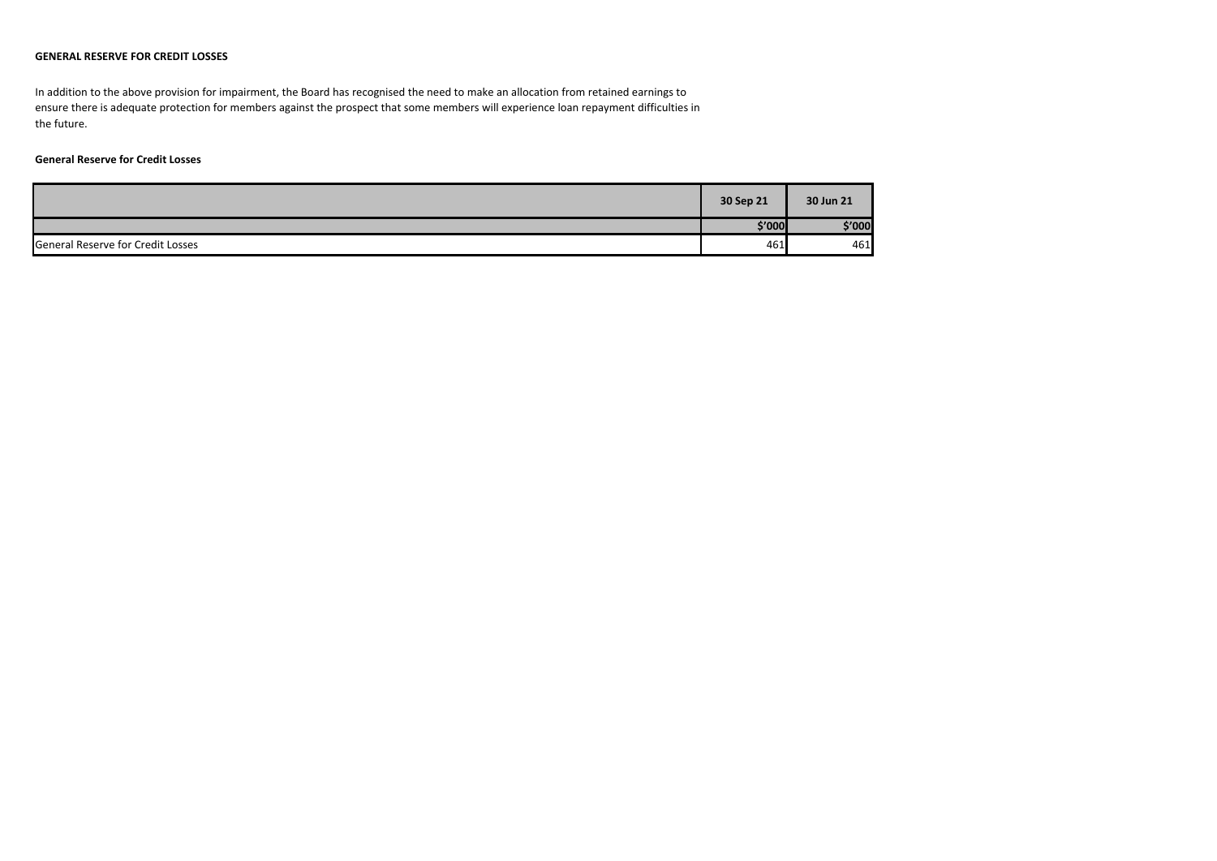## **GENERAL RESERVE FOR CREDIT LOSSES**

In addition to the above provision for impairment, the Board has recognised the need to make an allocation from retained earnings to ensure there is adequate protection for members against the prospect that some members will experience loan repayment difficulties in the future.

## **General Reserve for Credit Losses**

|                                          | 30 Sep 21 | 30 Jun 21 |
|------------------------------------------|-----------|-----------|
|                                          | \$'000    | \$'000    |
| <b>General Reserve for Credit Losses</b> | 461       | 461       |